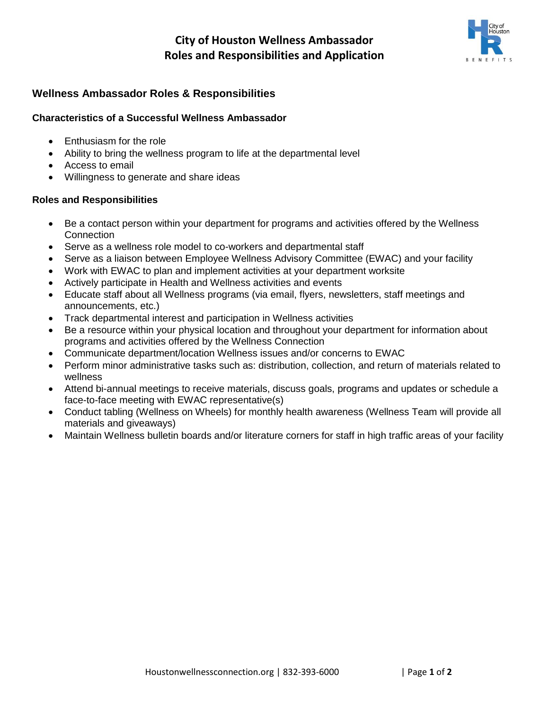# **City of Houston Wellness Ambassador Roles and Responsibilities and Application**



### **Wellness Ambassador Roles & Responsibilities**

#### **Characteristics of a Successful Wellness Ambassador**

- Enthusiasm for the role
- Ability to bring the wellness program to life at the departmental level
- Access to email
- Willingness to generate and share ideas

#### **Roles and Responsibilities**

- Be a contact person within your department for programs and activities offered by the Wellness **Connection**
- Serve as a wellness role model to co-workers and departmental staff
- Serve as a liaison between Employee Wellness Advisory Committee (EWAC) and your facility
- Work with EWAC to plan and implement activities at your department worksite
- Actively participate in Health and Wellness activities and events
- Educate staff about all Wellness programs (via email, flyers, newsletters, staff meetings and announcements, etc.)
- Track departmental interest and participation in Wellness activities
- Be a resource within your physical location and throughout your department for information about programs and activities offered by the Wellness Connection
- Communicate department/location Wellness issues and/or concerns to EWAC
- Perform minor administrative tasks such as: distribution, collection, and return of materials related to wellness
- Attend bi-annual meetings to receive materials, discuss goals, programs and updates or schedule a face-to-face meeting with EWAC representative(s)
- Conduct tabling (Wellness on Wheels) for monthly health awareness (Wellness Team will provide all materials and giveaways)
- Maintain Wellness bulletin boards and/or literature corners for staff in high traffic areas of your facility